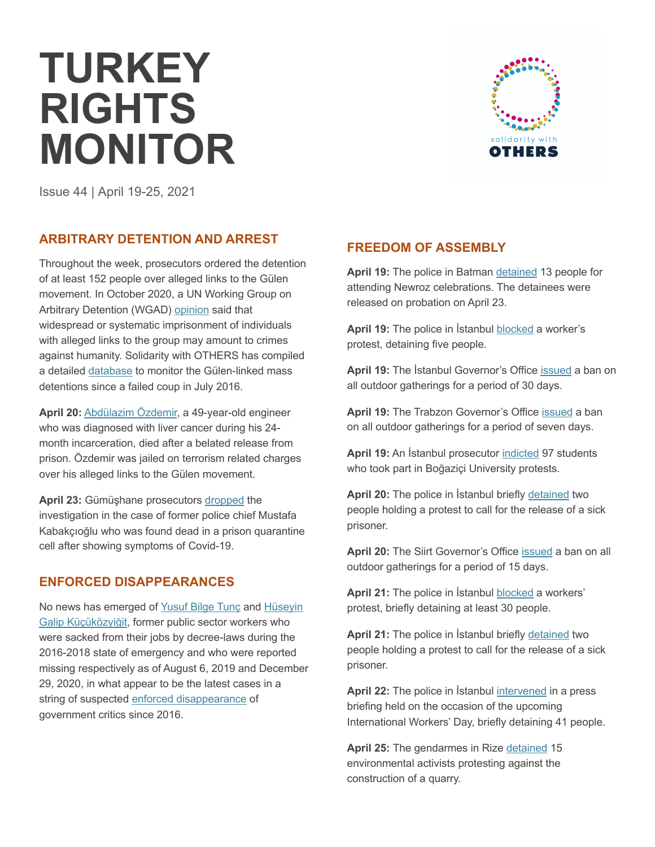# **TURKEY RIGHTS MONITOR**



Issue 44 | April 19-25, 2021

## **ARBITRARY DETENTION AND ARREST**

Throughout the week, prosecutors ordered the detention of at least 152 people over alleged links to the Gülen movement. In October 2020, a UN Working Group on Arbitrary Detention (WGAD) opinion said that widespread or systematic imprisonment of individuals with alleged links to the group may amount to crimes against humanity. Solidarity with OTHERS has compiled a detailed database to monitor the Gülen-linked mass detentions since a failed coup in July 2016.

**April 20:** Abdülazim Özdemir, a 49-year-old engineer who was diagnosed with liver cancer during his 24 month incarceration, died after a belated release from prison. Özdemir was jailed on terrorism related charges over his alleged links to the Gülen movement.

**April 23:** Gümüşhane prosecutors dropped the investigation in the case of former police chief Mustafa Kabakçıoğlu who was found dead in a prison quarantine cell after showing symptoms of Covid-19.

## **ENFORCED DISAPPEARANCES**

No news has emerged of Yusuf Bilge Tunç and Hüseyin Galip Küçüközyiğit, former public sector workers who were sacked from their jobs by decree-laws during the 2016-2018 state of emergency and who were reported missing respectively as of August 6, 2019 and December 29, 2020, in what appear to be the latest cases in a string of suspected enforced disappearance of government critics since 2016.

## **FREEDOM OF ASSEMBLY**

**April 19:** The police in Batman detained 13 people for attending Newroz celebrations. The detainees were released on probation on April 23.

April 19: The police in *İstanbul* blocked a worker's protest, detaining five people.

**April 19:** The İstanbul Governor's Office issued a ban on all outdoor gatherings for a period of 30 days.

**April 19:** The Trabzon Governor's Office issued a ban on all outdoor gatherings for a period of seven days.

April 19: An *İstanbul prosecutor* indicted 97 students who took part in Boğaziçi University protests.

April 20: The police in **Istanbul** briefly detained two people holding a protest to call for the release of a sick prisoner.

**April 20:** The Siirt Governor's Office issued a ban on all outdoor gatherings for a period of 15 days.

**April 21:** The police in İstanbul blocked a workers' protest, briefly detaining at least 30 people.

**April 21:** The police in İstanbul briefly detained two people holding a protest to call for the release of a sick prisoner.

**April 22:** The police in İstanbul intervened in a press briefing held on the occasion of the upcoming International Workers' Day, briefly detaining 41 people.

**April 25:** The gendarmes in Rize detained 15 environmental activists protesting against the construction of a quarry.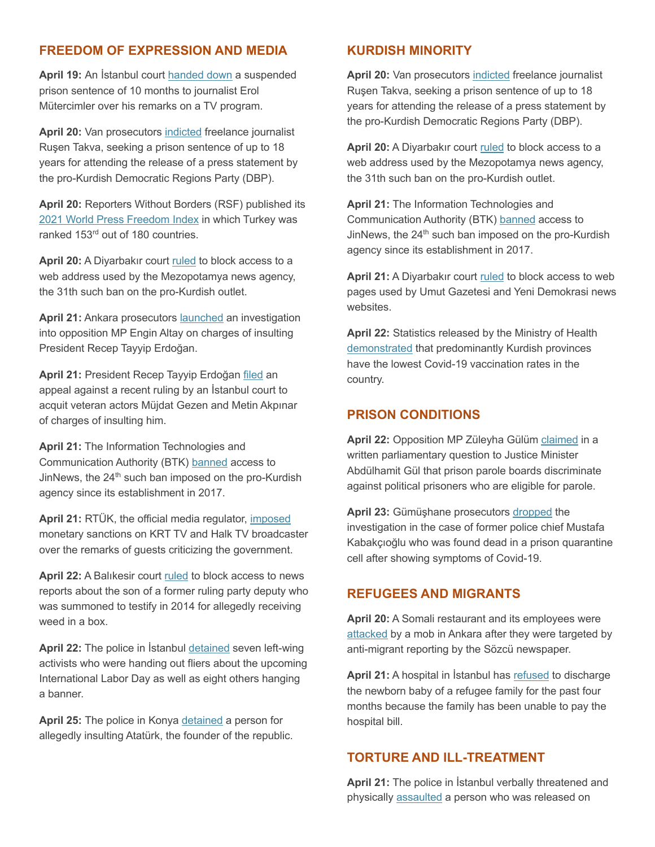## **FREEDOM OF EXPRESSION AND MEDIA**

**April 19:** An İstanbul court handed down a suspended prison sentence of 10 months to journalist Erol Mütercimler over his remarks on a TV program.

**April 20:** Van prosecutors indicted freelance journalist Ruşen Takva, seeking a prison sentence of up to 18 years for attending the release of a press statement by the pro-Kurdish Democratic Regions Party (DBP).

**April 20:** Reporters Without Borders (RSF) published its 2021 World Press Freedom Index in which Turkey was ranked 153<sup>rd</sup> out of 180 countries.

**April 20:** A Diyarbakır court ruled to block access to a web address used by the Mezopotamya news agency, the 31th such ban on the pro-Kurdish outlet.

April 21: Ankara prosecutors launched an investigation into opposition MP Engin Altay on charges of insulting President Recep Tayyip Erdoğan.

**April 21:** President Recep Tayyip Erdoğan filed an appeal against a recent ruling by an İstanbul court to acquit veteran actors Müjdat Gezen and Metin Akpınar of charges of insulting him.

**April 21:** The Information Technologies and Communication Authority (BTK) banned access to JinNews, the 24<sup>th</sup> such ban imposed on the pro-Kurdish agency since its establishment in 2017.

**April 21:** RTÜK, the official media regulator, imposed monetary sanctions on KRT TV and Halk TV broadcaster over the remarks of guests criticizing the government.

April 22: A Balıkesir court ruled to block access to news reports about the son of a former ruling party deputy who was summoned to testify in 2014 for allegedly receiving weed in a box.

**April 22:** The police in İstanbul detained seven left-wing activists who were handing out fliers about the upcoming International Labor Day as well as eight others hanging a banner.

**April 25:** The police in Konya detained a person for allegedly insulting Atatürk, the founder of the republic.

#### **KURDISH MINORITY**

**April 20:** Van prosecutors indicted freelance journalist Ruşen Takva, seeking a prison sentence of up to 18 years for attending the release of a press statement by the pro-Kurdish Democratic Regions Party (DBP).

**April 20:** A Diyarbakır court ruled to block access to a web address used by the Mezopotamya news agency, the 31th such ban on the pro-Kurdish outlet.

**April 21:** The Information Technologies and Communication Authority (BTK) banned access to JinNews, the 24<sup>th</sup> such ban imposed on the pro-Kurdish agency since its establishment in 2017.

**April 21:** A Diyarbakır court ruled to block access to web pages used by Umut Gazetesi and Yeni Demokrasi news websites.

**April 22:** Statistics released by the Ministry of Health demonstrated that predominantly Kurdish provinces have the lowest Covid-19 vaccination rates in the country.

## **PRISON CONDITIONS**

**April 22:** Opposition MP Züleyha Gülüm claimed in a written parliamentary question to Justice Minister Abdülhamit Gül that prison parole boards discriminate against political prisoners who are eligible for parole.

**April 23:** Gümüşhane prosecutors dropped the investigation in the case of former police chief Mustafa Kabakçıoğlu who was found dead in a prison quarantine cell after showing symptoms of Covid-19.

#### **REFUGEES AND MIGRANTS**

**April 20:** A Somali restaurant and its employees were attacked by a mob in Ankara after they were targeted by anti-migrant reporting by the Sözcü newspaper.

**April 21:** A hospital in İstanbul has refused to discharge the newborn baby of a refugee family for the past four months because the family has been unable to pay the hospital bill.

#### **TORTURE AND ILL-TREATMENT**

**April 21:** The police in İstanbul verbally threatened and physically assaulted a person who was released on